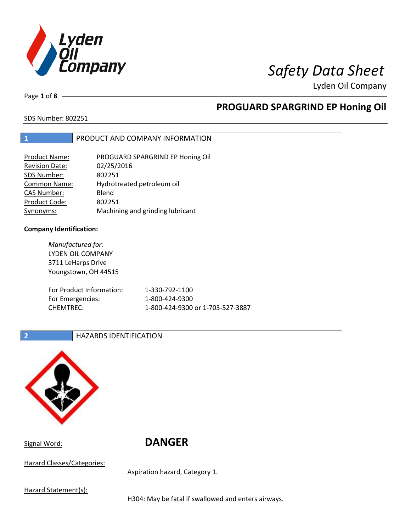

Page **1** of **8**

# **PROGUARD SPARGRIND EP Honing Oil**

SDS Number: 802251

### **1** PRODUCT AND COMPANY INFORMATION

| <b>Product Name:</b>  | PROGUARD SPARGRIND EP Honing Oil |
|-----------------------|----------------------------------|
| <b>Revision Date:</b> | 02/25/2016                       |
| SDS Number:           | 802251                           |
| Common Name:          | Hydrotreated petroleum oil       |
| <b>CAS Number:</b>    | Blend                            |
| Product Code:         | 802251                           |
| Synonyms:             | Machining and grinding lubricant |

### **Company Identification:**

*Manufactured for:* LYDEN OIL COMPANY 3711 LeHarps Drive Youngstown, OH 44515 For Product Information: 1-330-792-1100 For Emergencies: 1-800-424-9300 CHEMTREC: 1-800-424-9300 or 1-703-527-3887

### **2 HAZARDS IDENTIFICATION**



Signal Word: **DANGER**

Hazard Classes/Categories:

Aspiration hazard, Category 1.

Hazard Statement(s):

H304: May be fatal if swallowed and enters airways.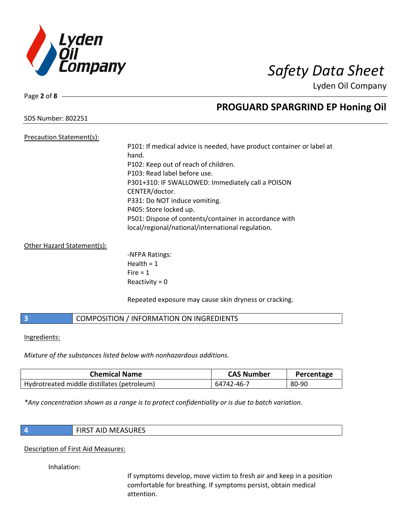

Page **2** of **8**

# **PROGUARD SPARGRIND EP Honing Oil**

SDS Number: 802251

Precaution Statement(s):

# P101: If medical advice is needed, have product container or label at hand. P102: Keep out of reach of children. P103: Read label before use. P301+310: IF SWALLOWED: Immediately call a POISON CENTER/doctor. P331: Do NOT induce vomiting. P405: Store locked up. P501: Dispose of contents/container in accordance with local/regional/national/international regulation.

### Other Hazard Statement(s):

-NFPA Ratings: Health  $= 1$  $Fire = 1$ Reactivity  $= 0$ 

Repeated exposure may cause skin dryness or cracking.

## **3** COMPOSITION / INFORMATION ON INGREDIENTS

### Ingredients:

*Mixture of the substances listed below with nonhazardous additions.*

| <b>Chemical Name</b>                        | <b>CAS Number</b> | Percentage |
|---------------------------------------------|-------------------|------------|
| Hydrotreated middle distillates (petroleum) | 64742-46-7        | 80-90      |

*\*Any concentration shown as a range is to protect confidentiality or is due to batch variation.*

|--|

### Description of First Aid Measures:

Inhalation:

If symptoms develop, move victim to fresh air and keep in a position comfortable for breathing. If symptoms persist, obtain medical attention.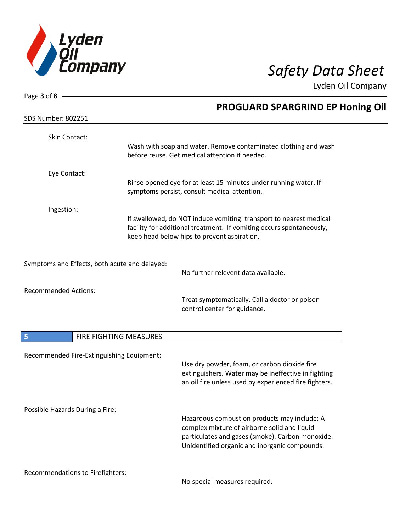

| Page 3 of 8 -                                 |                        |                                                                                                                                            |
|-----------------------------------------------|------------------------|--------------------------------------------------------------------------------------------------------------------------------------------|
|                                               |                        | <b>PROGUARD SPARGRIND EP Honing Oil</b>                                                                                                    |
| <b>SDS Number: 802251</b>                     |                        |                                                                                                                                            |
| Skin Contact:                                 |                        |                                                                                                                                            |
|                                               |                        | Wash with soap and water. Remove contaminated clothing and wash<br>before reuse. Get medical attention if needed.                          |
|                                               |                        |                                                                                                                                            |
| Eye Contact:                                  |                        | Rinse opened eye for at least 15 minutes under running water. If                                                                           |
|                                               |                        | symptoms persist, consult medical attention.                                                                                               |
| Ingestion:                                    |                        |                                                                                                                                            |
|                                               |                        | If swallowed, do NOT induce vomiting: transport to nearest medical<br>facility for additional treatment. If vomiting occurs spontaneously, |
|                                               |                        | keep head below hips to prevent aspiration.                                                                                                |
| Symptoms and Effects, both acute and delayed: |                        |                                                                                                                                            |
|                                               |                        | No further relevent data available.                                                                                                        |
| <b>Recommended Actions:</b>                   |                        |                                                                                                                                            |
|                                               |                        | Treat symptomatically. Call a doctor or poison<br>control center for guidance.                                                             |
|                                               |                        |                                                                                                                                            |
| 5                                             | FIRE FIGHTING MEASURES |                                                                                                                                            |
| Recommended Fire-Extinguishing Equipment:     |                        |                                                                                                                                            |
|                                               |                        | Use dry powder, foam, or carbon dioxide fire<br>extinguishers. Water may be ineffective in fighting                                        |
|                                               |                        | an oil fire unless used by experienced fire fighters.                                                                                      |
| Possible Hazards During a Fire:               |                        |                                                                                                                                            |
|                                               |                        | Hazardous combustion products may include: A                                                                                               |
|                                               |                        | complex mixture of airborne solid and liquid<br>particulates and gases (smoke). Carbon monoxide.                                           |
|                                               |                        | Unidentified organic and inorganic compounds.                                                                                              |
| <b>Recommendations to Firefighters:</b>       |                        |                                                                                                                                            |

No special measures required.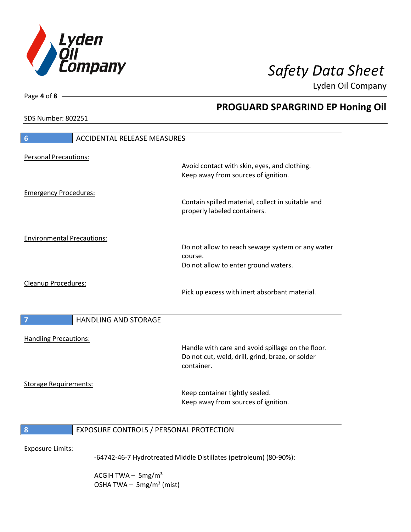

**PROGUARD SPARGRIND EP Honing Oil**

Lyden Oil Company

SDS Number: 802251

Page **4** of **8**

 $\overline{\phantom{a}}$ 

 $\overline{\phantom{a}}$ 

| 6                                 | <b>ACCIDENTAL RELEASE MEASURES</b>      |                                                                                                                     |
|-----------------------------------|-----------------------------------------|---------------------------------------------------------------------------------------------------------------------|
| <b>Personal Precautions:</b>      |                                         | Avoid contact with skin, eyes, and clothing.                                                                        |
|                                   |                                         | Keep away from sources of ignition.                                                                                 |
| <b>Emergency Procedures:</b>      |                                         | Contain spilled material, collect in suitable and<br>properly labeled containers.                                   |
| <b>Environmental Precautions:</b> |                                         |                                                                                                                     |
|                                   |                                         | Do not allow to reach sewage system or any water<br>course.<br>Do not allow to enter ground waters.                 |
| Cleanup Procedures:               |                                         | Pick up excess with inert absorbant material.                                                                       |
| $\overline{7}$                    | <b>HANDLING AND STORAGE</b>             |                                                                                                                     |
| <b>Handling Precautions:</b>      |                                         |                                                                                                                     |
|                                   |                                         | Handle with care and avoid spillage on the floor.<br>Do not cut, weld, drill, grind, braze, or solder<br>container. |
| <b>Storage Requirements:</b>      |                                         |                                                                                                                     |
|                                   |                                         | Keep container tightly sealed.<br>Keep away from sources of ignition.                                               |
| 8                                 | EXPOSURE CONTROLS / PERSONAL PROTECTION |                                                                                                                     |
| <b>Exposure Limits:</b>           |                                         | -64742-46-7 Hydrotreated Middle Distillates (petroleum) (80-90%):                                                   |

ACGIH TWA  $-$  5mg/m<sup>3</sup> OSHA TWA - 5mg/m<sup>3</sup> (mist)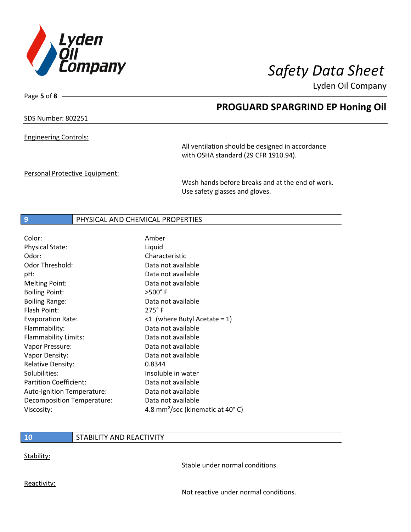

Page **5** of **8**

# **PROGUARD SPARGRIND EP Honing Oil**

## SDS Number: 802251

Engineering Controls:

All ventilation should be designed in accordance with OSHA standard (29 CFR 1910.94).

Personal Protective Equipment:

Wash hands before breaks and at the end of work. Use safety glasses and gloves.

### **9** PHYSICAL AND CHEMICAL PROPERTIES

| Color:                        | Amber                                        |
|-------------------------------|----------------------------------------------|
| <b>Physical State:</b>        | Liquid                                       |
| Odor:                         | Characteristic                               |
| Odor Threshold:               | Data not available                           |
| pH:                           | Data not available                           |
| <b>Melting Point:</b>         | Data not available                           |
| <b>Boiling Point:</b>         | $>500^\circ$ F                               |
| <b>Boiling Range:</b>         | Data not available                           |
| Flash Point:                  | $275^\circ$ F                                |
| <b>Evaporation Rate:</b>      | $\leq 1$ (where Butyl Acetate = 1)           |
| Flammability:                 | Data not available                           |
| Flammability Limits:          | Data not available                           |
| Vapor Pressure:               | Data not available                           |
| Vapor Density:                | Data not available                           |
| <b>Relative Density:</b>      | 0.8344                                       |
| Solubilities:                 | Insoluble in water                           |
| <b>Partition Coefficient:</b> | Data not available                           |
| Auto-Ignition Temperature:    | Data not available                           |
| Decomposition Temperature:    | Data not available                           |
| Viscosity:                    | 4.8 mm <sup>2</sup> /sec (kinematic at 40°C) |

## **10** STABILITY AND REACTIVITY

Stability:

Stable under normal conditions.

Reactivity:

Not reactive under normal conditions.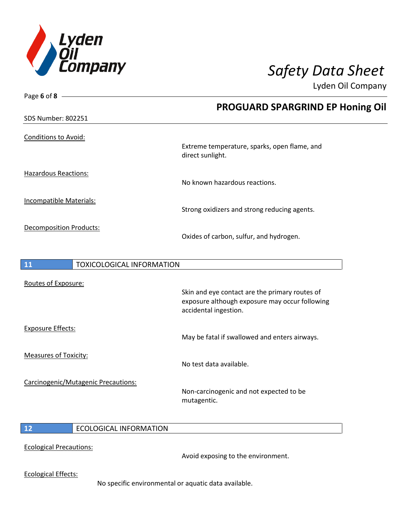

| Page 6 of 8 $-$                |                                     |                                                                                                                           |
|--------------------------------|-------------------------------------|---------------------------------------------------------------------------------------------------------------------------|
|                                |                                     | <b>PROGUARD SPARGRIND EP Honing Oil</b>                                                                                   |
| <b>SDS Number: 802251</b>      |                                     |                                                                                                                           |
| <b>Conditions to Avoid:</b>    |                                     | Extreme temperature, sparks, open flame, and<br>direct sunlight.                                                          |
| <b>Hazardous Reactions:</b>    |                                     | No known hazardous reactions.                                                                                             |
| Incompatible Materials:        |                                     | Strong oxidizers and strong reducing agents.                                                                              |
| <b>Decomposition Products:</b> |                                     | Oxides of carbon, sulfur, and hydrogen.                                                                                   |
| 11                             | <b>TOXICOLOGICAL INFORMATION</b>    |                                                                                                                           |
| Routes of Exposure:            |                                     | Skin and eye contact are the primary routes of<br>exposure although exposure may occur following<br>accidental ingestion. |
| <b>Exposure Effects:</b>       |                                     | May be fatal if swallowed and enters airways.                                                                             |
| <b>Measures of Toxicity:</b>   |                                     | No test data available.                                                                                                   |
|                                | Carcinogenic/Mutagenic Precautions: |                                                                                                                           |

Non-carcinogenic and not expected to be mutagentic.

## **12** ECOLOGICAL INFORMATION

### Ecological Precautions:

Avoid exposing to the environment.

Ecological Effects:

No specific environmental or aquatic data available.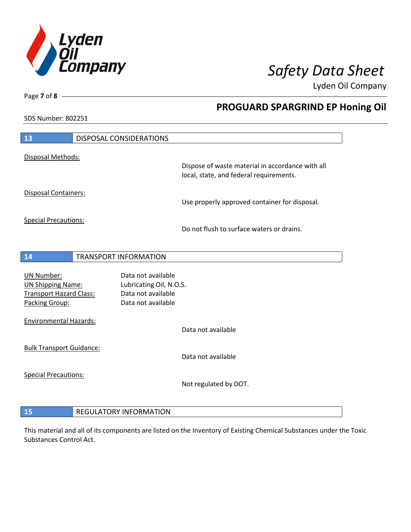

**PROGUARD SPARGRIND EP Honing Oil**

Lyden Oil Company

SDS Number: 802251

Page **7** of **8**

 $\overline{\phantom{a}}$ 

| 13                                               | DISPOSAL CONSIDERATIONS                       |                                                                                             |
|--------------------------------------------------|-----------------------------------------------|---------------------------------------------------------------------------------------------|
| Disposal Methods:                                |                                               |                                                                                             |
|                                                  |                                               | Dispose of waste material in accordance with all<br>local, state, and federal requirements. |
| Disposal Containers:                             |                                               | Use properly approved container for disposal.                                               |
| <b>Special Precautions:</b>                      |                                               |                                                                                             |
|                                                  |                                               | Do not flush to surface waters or drains.                                                   |
|                                                  |                                               |                                                                                             |
| 14                                               | <b>TRANSPORT INFORMATION</b>                  |                                                                                             |
| <b>UN Number:</b><br><b>UN Shipping Name:</b>    | Data not available<br>Lubricating Oil, N.O.S. |                                                                                             |
| <b>Transport Hazard Class:</b><br>Packing Group: | Data not available<br>Data not available      |                                                                                             |
|                                                  |                                               |                                                                                             |
| <b>Environmental Hazards:</b>                    |                                               | Data not available                                                                          |
| <b>Bulk Transport Guidance:</b>                  |                                               |                                                                                             |
|                                                  |                                               | Data not available                                                                          |
| <b>Special Precautions:</b>                      |                                               | Not regulated by DOT.                                                                       |
|                                                  |                                               |                                                                                             |
| 15                                               | <b>REGULATORY INFORMATION</b>                 |                                                                                             |

This material and all of its components are listed on the Inventory of Existing Chemical Substances under the Toxic Substances Control Act.